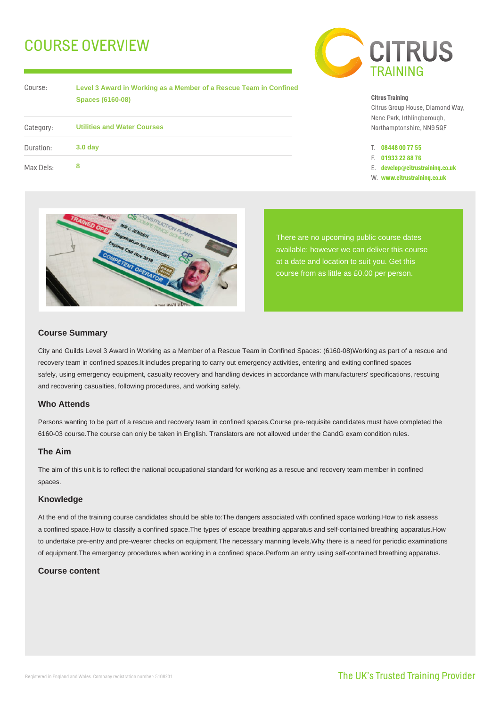# COURSE OVERVIEW

Course: Category:

| Level 3 Award in Working as a Member of a Rescue Team in Confined |  |  |
|-------------------------------------------------------------------|--|--|
| <b>Spaces (6160-08)</b>                                           |  |  |

| Category: | <b>Utilities and Water Courses</b> |  |
|-----------|------------------------------------|--|
| Duration: | 3.0 <sub>day</sub>                 |  |
| Max Dels: | 8                                  |  |



#### **Citrus Training**

Citrus Group House, Diamond Way, Nene Park, Irthlingborough, Northamptonshire, NN9 5QF

- T. **08448 00 77 55**
- F. **01933 22 88 76**
- E. **develop@citrustraining.co.uk**
- W. **www.citrustraining.co.uk**



There are no upcoming public course dates available; however we can deliver this course at a date and location to suit you. Get this course from as little as £0.00 per person.

## **Course Summary**

City and Guilds Level 3 Award in Working as a Member of a Rescue Team in Confined Spaces: (6160-08)Working as part of a rescue and recovery team in confined spaces.It includes preparing to carry out emergency activities, entering and exiting confined spaces safely, using emergency equipment, casualty recovery and handling devices in accordance with manufacturers' specifications, rescuing and recovering casualties, following procedures, and working safely.

## **Who Attends**

Persons wanting to be part of a rescue and recovery team in confined spaces.Course pre-requisite candidates must have completed the 6160-03 course.The course can only be taken in English. Translators are not allowed under the CandG exam condition rules.

## **The Aim**

The aim of this unit is to reflect the national occupational standard for working as a rescue and recovery team member in confined spaces.

## **Knowledge**

At the end of the training course candidates should be able to:The dangers associated with confined space working.How to risk assess a confined space.How to classify a confined space.The types of escape breathing apparatus and self-contained breathing apparatus.How to undertake pre-entry and pre-wearer checks on equipment.The necessary manning levels.Why there is a need for periodic examinations of equipment.The emergency procedures when working in a confined space.Perform an entry using self-contained breathing apparatus.

## **Course content**